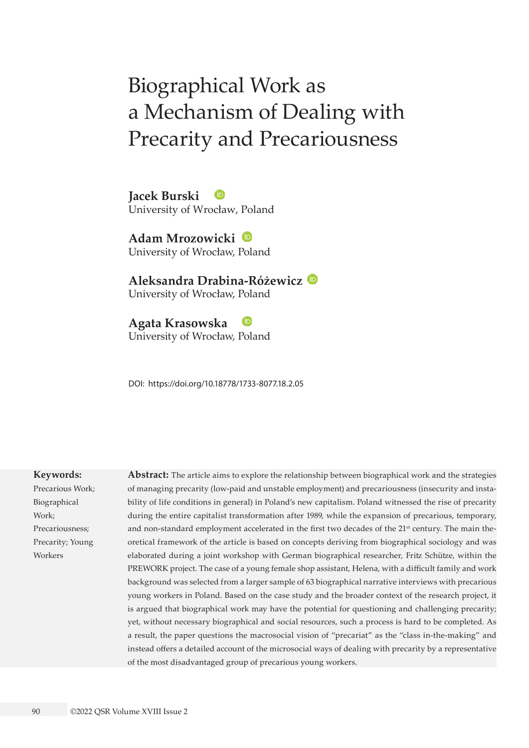# Biographical Work as a Mechanism of Dealing with Precarity and Precariousness

**Jacek Burski** University of Wrocław, Poland

**Adam Mrozowicki** University of Wrocław, Poland

**Aleksandra Drabina-Różewicz** University of Wrocław, Poland

**Agata Krasowska** University of Wrocław, Poland

DOI: <https://doi.org/10.18778/1733-8077.18.2.05>

#### **Keywords:**

Precarious Work; Biographical Work; Precariousness; Precarity; Young Workers

**Abstract:** The article aims to explore the relationship between biographical work and the strategies of managing precarity (low-paid and unstable employment) and precariousness (insecurity and instability of life conditions in general) in Poland's new capitalism. Poland witnessed the rise of precarity during the entire capitalist transformation after 1989, while the expansion of precarious, temporary, and non-standard employment accelerated in the first two decades of the 21<sup>st</sup> century. The main theoretical framework of the article is based on concepts deriving from biographical sociology and was elaborated during a joint workshop with German biographical researcher, Fritz Schütze, within the PREWORK project. The case of a young female shop assistant, Helena, with a difficult family and work background was selected from a larger sample of 63 biographical narrative interviews with precarious young workers in Poland. Based on the case study and the broader context of the research project, it is argued that biographical work may have the potential for questioning and challenging precarity; yet, without necessary biographical and social resources, such a process is hard to be completed. As a result, the paper questions the macrosocial vision of "precariat" as the "class in-the-making" and instead offers a detailed account of the microsocial ways of dealing with precarity by a representative of the most disadvantaged group of precarious young workers.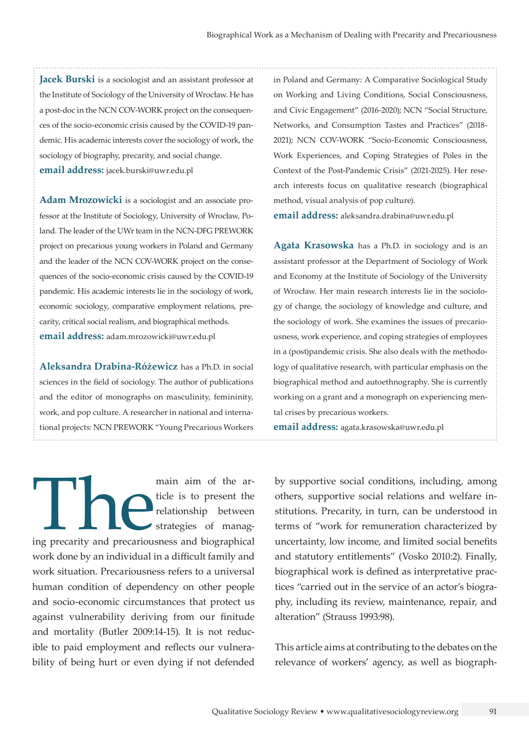**Jacek Burski** is a sociologist and an assistant professor at the Institute of Sociology of the University of Wrocław. He has a post-doc in the NCN COV-WORK project on the consequences of the socio-economic crisis caused by the COVID-19 pandemic. His academic interests cover the sociology of work, the sociology of biography, precarity, and social change. **email address:** [jacek.burski@uwr.edu.pl](mailto:jacek.burski@uwr.edu.pl)

**Adam Mrozowicki** is a sociologist and an associate professor at the Institute of Sociology, University of Wrocław, Poland. The leader of the UWr team in the NCN-DFG PREWORK project on precarious young workers in Poland and Germany and the leader of the NCN COV-WORK project on the consequences of the socio-economic crisis caused by the COVID-19 pandemic. His academic interests lie in the sociology of work, economic sociology, comparative employment relations, precarity, critical social realism, and biographical methods. **email address:** [adam.mrozowicki@uwr.edu.pl](mailto:adam.mrozowicki@uwr.edu.pl)

**Aleksandra Drabina-Różewicz** has a Ph.D. in social sciences in the field of sociology. The author of publications and the editor of monographs on masculinity, femininity, work, and pop culture. A researcher in national and international projects: NCN PREWORK "Young Precarious Workers

main aim of the article is to present the relationship between strategies of managing precarity and precariousness and biographical ticle is to present the relationship between strategies of managwork done by an individual in a difficult family and work situation. Precariousness refers to a universal human condition of dependency on other people and socio-economic circumstances that protect us against vulnerability deriving from our finitude and mortality (Butler 2009:14-15). It is not reducible to paid employment and reflects our vulnerability of being hurt or even dying if not defended

in Poland and Germany: A Comparative Sociological Study on Working and Living Conditions, Social Consciousness, and Civic Engagement" (2016-2020); NCN "Social Structure, Networks, and Consumption Tastes and Practices" (2018- 2021); NCN COV-WORK "Socio-Economic Consciousness, Work Experiences, and Coping Strategies of Poles in the Context of the Post-Pandemic Crisis" (2021-2025). Her research interests focus on qualitative research (biographical method, visual analysis of pop culture).

**email address:** [aleksandra.drabina@uwr.edu.pl](mailto:aleksandra.drabina@uwr.edu.pl)

**Agata Krasowska** has a Ph.D. in sociology and is an assistant professor at the Department of Sociology of Work and Economy at the Institute of Sociology of the University of Wrocław. Her main research interests lie in the sociology of change, the sociology of knowledge and culture, and the sociology of work. She examines the issues of precariousness, work experience, and coping strategies of employees in a (post)pandemic crisis. She also deals with the methodology of qualitative research, with particular emphasis on the biographical method and autoethnography. She is currently working on a grant and a monograph on experiencing mental crises by precarious workers.

**email address:** [agata.krasowska@uwr.edu.pl](mailto:agata.krasowska@uwr.edu.pl)

by supportive social conditions, including, among others, supportive social relations and welfare institutions. Precarity, in turn, can be understood in terms of "work for remuneration characterized by uncertainty, low income, and limited social benefits and statutory entitlements" (Vosko 2010:2). Finally, biographical work is defined as interpretative practices "carried out in the service of an actor's biography, including its review, maintenance, repair, and alteration" (Strauss 1993:98).

This article aims at contributing to the debates on the relevance of workers' agency, as well as biograph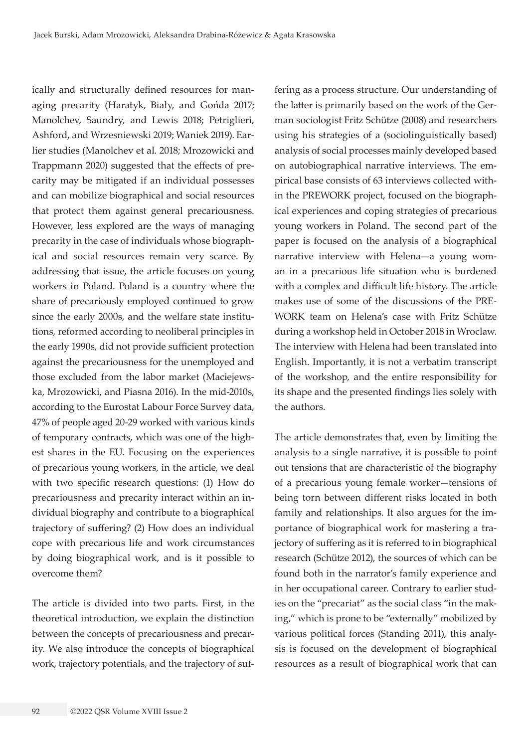ically and structurally defined resources for managing precarity (Haratyk, Biały, and Gońda 2017; Manolchev, Saundry, and Lewis 2018; Petriglieri, Ashford, and Wrzesniewski 2019; Waniek 2019). Earlier studies (Manolchev et al. 2018; Mrozowicki and Trappmann 2020) suggested that the effects of precarity may be mitigated if an individual possesses and can mobilize biographical and social resources that protect them against general precariousness. However, less explored are the ways of managing precarity in the case of individuals whose biographical and social resources remain very scarce. By addressing that issue, the article focuses on young workers in Poland. Poland is a country where the share of precariously employed continued to grow since the early 2000s, and the welfare state institutions, reformed according to neoliberal principles in the early 1990s, did not provide sufficient protection against the precariousness for the unemployed and those excluded from the labor market (Maciejewska, Mrozowicki, and Piasna 2016). In the mid-2010s, according to the Eurostat Labour Force Survey data, 47% of people aged 20-29 worked with various kinds of temporary contracts, which was one of the highest shares in the EU. Focusing on the experiences of precarious young workers, in the article, we deal with two specific research questions: (1) How do precariousness and precarity interact within an individual biography and contribute to a biographical trajectory of suffering? (2) How does an individual cope with precarious life and work circumstances by doing biographical work, and is it possible to overcome them?

The article is divided into two parts. First, in the theoretical introduction, we explain the distinction between the concepts of precariousness and precarity. We also introduce the concepts of biographical work, trajectory potentials, and the trajectory of suf-

fering as a process structure. Our understanding of the latter is primarily based on the work of the German sociologist Fritz Schütze (2008) and researchers using his strategies of a (sociolinguistically based) analysis of social processes mainly developed based on autobiographical narrative interviews. The empirical base consists of 63 interviews collected within the PREWORK project, focused on the biographical experiences and coping strategies of precarious young workers in Poland. The second part of the paper is focused on the analysis of a biographical narrative interview with Helena—a young woman in a precarious life situation who is burdened with a complex and difficult life history. The article makes use of some of the discussions of the PRE-WORK team on Helena's case with Fritz Schütze during a workshop held in October 2018 in Wroclaw. The interview with Helena had been translated into English. Importantly, it is not a verbatim transcript of the workshop, and the entire responsibility for its shape and the presented findings lies solely with the authors.

The article demonstrates that, even by limiting the analysis to a single narrative, it is possible to point out tensions that are characteristic of the biography of a precarious young female worker—tensions of being torn between different risks located in both family and relationships. It also argues for the importance of biographical work for mastering a trajectory of suffering as it is referred to in biographical research (Schütze 2012), the sources of which can be found both in the narrator's family experience and in her occupational career. Contrary to earlier studies on the "precariat" as the social class "in the making," which is prone to be "externally" mobilized by various political forces (Standing 2011), this analysis is focused on the development of biographical resources as a result of biographical work that can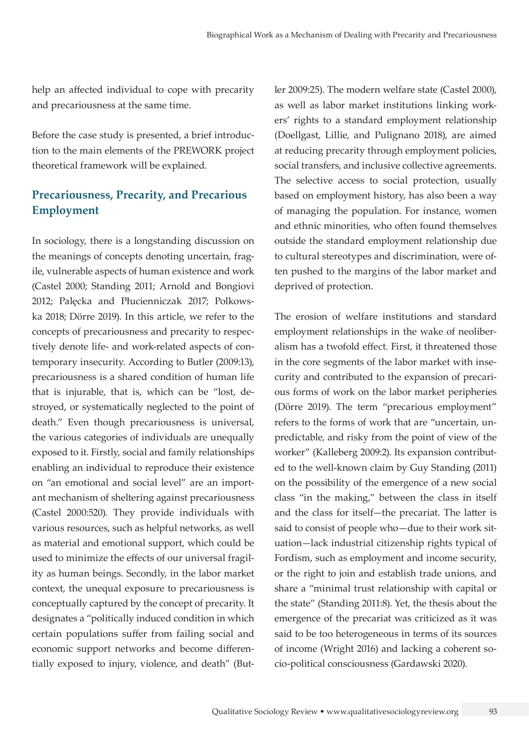help an affected individual to cope with precarity and precariousness at the same time.

Before the case study is presented, a brief introduction to the main elements of the PREWORK project theoretical framework will be explained.

# **Precariousness, Precarity, and Precarious Employment**

In sociology, there is a longstanding discussion on the meanings of concepts denoting uncertain, fragile, vulnerable aspects of human existence and work (Castel 2000; Standing 2011; Arnold and Bongiovi 2012; Palęcka and Płucienniczak 2017; Polkowska 2018; Dörre 2019). In this article, we refer to the concepts of precariousness and precarity to respectively denote life- and work-related aspects of contemporary insecurity. According to Butler (2009:13), precariousness is a shared condition of human life that is injurable, that is, which can be "lost, destroyed, or systematically neglected to the point of death." Even though precariousness is universal, the various categories of individuals are unequally exposed to it. Firstly, social and family relationships enabling an individual to reproduce their existence on "an emotional and social level" are an important mechanism of sheltering against precariousness (Castel 2000:520). They provide individuals with various resources, such as helpful networks, as well as material and emotional support, which could be used to minimize the effects of our universal fragility as human beings. Secondly, in the labor market context, the unequal exposure to precariousness is conceptually captured by the concept of precarity. It designates a "politically induced condition in which certain populations suffer from failing social and economic support networks and become differentially exposed to injury, violence, and death" (Butler 2009:25). The modern welfare state (Castel 2000), as well as labor market institutions linking workers' rights to a standard employment relationship (Doellgast, Lillie, and Pulignano 2018), are aimed at reducing precarity through employment policies, social transfers, and inclusive collective agreements. The selective access to social protection, usually based on employment history, has also been a way of managing the population. For instance, women and ethnic minorities, who often found themselves outside the standard employment relationship due to cultural stereotypes and discrimination, were often pushed to the margins of the labor market and deprived of protection.

The erosion of welfare institutions and standard employment relationships in the wake of neoliberalism has a twofold effect. First, it threatened those in the core segments of the labor market with insecurity and contributed to the expansion of precarious forms of work on the labor market peripheries (Dörre 2019). The term "precarious employment" refers to the forms of work that are "uncertain, unpredictable, and risky from the point of view of the worker" (Kalleberg 2009:2). Its expansion contributed to the well-known claim by Guy Standing (2011) on the possibility of the emergence of a new social class "in the making," between the class in itself and the class for itself—the precariat. The latter is said to consist of people who—due to their work situation—lack industrial citizenship rights typical of Fordism, such as employment and income security, or the right to join and establish trade unions, and share a "minimal trust relationship with capital or the state" (Standing 2011:8). Yet, the thesis about the emergence of the precariat was criticized as it was said to be too heterogeneous in terms of its sources of income (Wright 2016) and lacking a coherent socio-political consciousness (Gardawski 2020).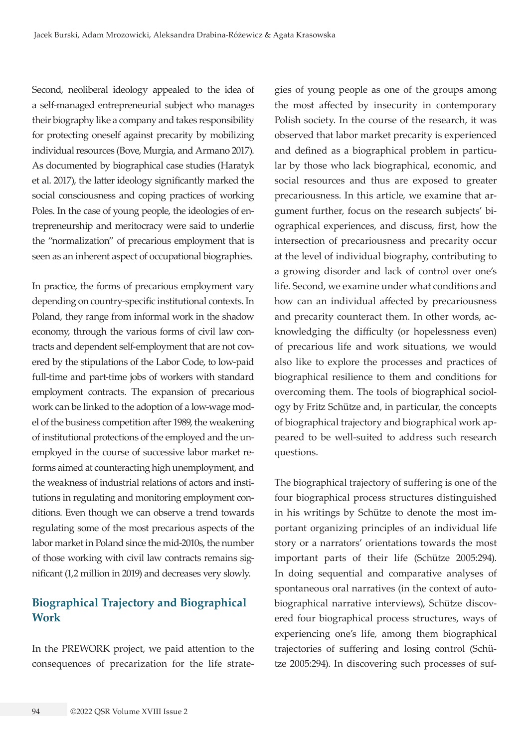Second, neoliberal ideology appealed to the idea of a self-managed entrepreneurial subject who manages their biography like a company and takes responsibility for protecting oneself against precarity by mobilizing individual resources (Bove, Murgia, and Armano 2017). As documented by biographical case studies (Haratyk et al. 2017), the latter ideology significantly marked the social consciousness and coping practices of working Poles. In the case of young people, the ideologies of entrepreneurship and meritocracy were said to underlie the "normalization" of precarious employment that is seen as an inherent aspect of occupational biographies.

In practice, the forms of precarious employment vary depending on country-specific institutional contexts. In Poland, they range from informal work in the shadow economy, through the various forms of civil law contracts and dependent self-employment that are not covered by the stipulations of the Labor Code, to low-paid full-time and part-time jobs of workers with standard employment contracts. The expansion of precarious work can be linked to the adoption of a low-wage model of the business competition after 1989, the weakening of institutional protections of the employed and the unemployed in the course of successive labor market reforms aimed at counteracting high unemployment, and the weakness of industrial relations of actors and institutions in regulating and monitoring employment conditions. Even though we can observe a trend towards regulating some of the most precarious aspects of the labor market in Poland since the mid-2010s, the number of those working with civil law contracts remains significant (1,2 million in 2019) and decreases very slowly.

# **Biographical Trajectory and Biographical Work**

In the PREWORK project, we paid attention to the consequences of precarization for the life strategies of young people as one of the groups among the most affected by insecurity in contemporary Polish society. In the course of the research, it was observed that labor market precarity is experienced and defined as a biographical problem in particular by those who lack biographical, economic, and social resources and thus are exposed to greater precariousness. In this article, we examine that argument further, focus on the research subjects' biographical experiences, and discuss, first, how the intersection of precariousness and precarity occur at the level of individual biography, contributing to a growing disorder and lack of control over one's life. Second, we examine under what conditions and how can an individual affected by precariousness and precarity counteract them. In other words, acknowledging the difficulty (or hopelessness even) of precarious life and work situations, we would also like to explore the processes and practices of biographical resilience to them and conditions for overcoming them. The tools of biographical sociology by Fritz Schütze and, in particular, the concepts of biographical trajectory and biographical work appeared to be well-suited to address such research questions.

The biographical trajectory of suffering is one of the four biographical process structures distinguished in his writings by Schütze to denote the most important organizing principles of an individual life story or a narrators' orientations towards the most important parts of their life (Schütze 2005:294). In doing sequential and comparative analyses of spontaneous oral narratives (in the context of autobiographical narrative interviews), Schütze discovered four biographical process structures, ways of experiencing one's life, among them biographical trajectories of suffering and losing control (Schütze 2005:294). In discovering such processes of suf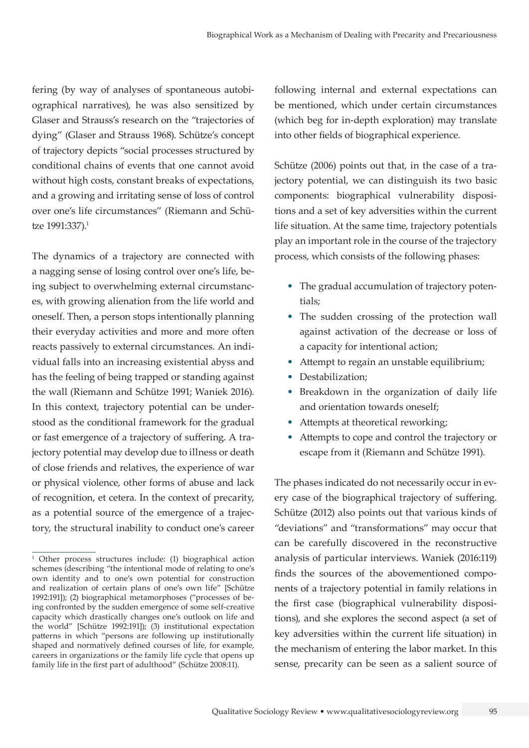fering (by way of analyses of spontaneous autobiographical narratives), he was also sensitized by Glaser and Strauss's research on the "trajectories of dying" (Glaser and Strauss 1968). Schütze's concept of trajectory depicts "social processes structured by conditional chains of events that one cannot avoid without high costs, constant breaks of expectations, and a growing and irritating sense of loss of control over one's life circumstances" (Riemann and Schütze 1991:337).<sup>1</sup>

The dynamics of a trajectory are connected with a nagging sense of losing control over one's life, being subject to overwhelming external circumstances, with growing alienation from the life world and oneself. Then, a person stops intentionally planning their everyday activities and more and more often reacts passively to external circumstances. An individual falls into an increasing existential abyss and has the feeling of being trapped or standing against the wall (Riemann and Schütze 1991; Waniek 2016). In this context, trajectory potential can be understood as the conditional framework for the gradual or fast emergence of a trajectory of suffering. A trajectory potential may develop due to illness or death of close friends and relatives, the experience of war or physical violence, other forms of abuse and lack of recognition, et cetera. In the context of precarity, as a potential source of the emergence of a trajectory, the structural inability to conduct one's career

following internal and external expectations can be mentioned, which under certain circumstances (which beg for in-depth exploration) may translate into other fields of biographical experience.

Schütze (2006) points out that, in the case of a trajectory potential, we can distinguish its two basic components: biographical vulnerability dispositions and a set of key adversities within the current life situation. At the same time, trajectory potentials play an important role in the course of the trajectory process, which consists of the following phases:

- The gradual accumulation of trajectory potentials;
- The sudden crossing of the protection wall against activation of the decrease or loss of a capacity for intentional action;
- Attempt to regain an unstable equilibrium;
- Destabilization:
- Breakdown in the organization of daily life and orientation towards oneself;
- Attempts at theoretical reworking;
- Attempts to cope and control the trajectory or escape from it (Riemann and Schütze 1991).

The phases indicated do not necessarily occur in every case of the biographical trajectory of suffering. Schütze (2012) also points out that various kinds of "deviations" and "transformations" may occur that can be carefully discovered in the reconstructive analysis of particular interviews. Waniek (2016:119) finds the sources of the abovementioned components of a trajectory potential in family relations in the first case (biographical vulnerability dispositions), and she explores the second aspect (a set of key adversities within the current life situation) in the mechanism of entering the labor market. In this sense, precarity can be seen as a salient source of

<sup>1</sup> Other process structures include: (1) biographical action schemes (describing "the intentional mode of relating to one's own identity and to one's own potential for construction and realization of certain plans of one's own life" [Schütze 1992:191]); (2) biographical metamorphoses ("processes of being confronted by the sudden emergence of some self-creative capacity which drastically changes one's outlook on life and the world" [Schütze 1992:191]); (3) institutional expectation patterns in which "persons are following up institutionally shaped and normatively defined courses of life, for example, careers in organizations or the family life cycle that opens up family life in the first part of adulthood" (Schütze 2008:11).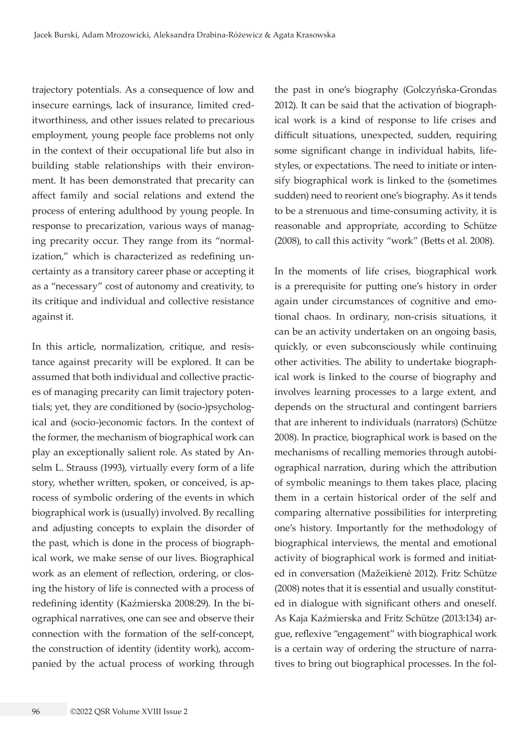trajectory potentials. As a consequence of low and insecure earnings, lack of insurance, limited creditworthiness, and other issues related to precarious employment, young people face problems not only in the context of their occupational life but also in building stable relationships with their environment. It has been demonstrated that precarity can affect family and social relations and extend the process of entering adulthood by young people. In response to precarization, various ways of managing precarity occur. They range from its "normalization," which is characterized as redefining uncertainty as a transitory career phase or accepting it as a "necessary" cost of autonomy and creativity, to its critique and individual and collective resistance against it.

In this article, normalization, critique, and resistance against precarity will be explored. It can be assumed that both individual and collective practices of managing precarity can limit trajectory potentials; yet, they are conditioned by (socio-)psychological and (socio-)economic factors. In the context of the former, the mechanism of biographical work can play an exceptionally salient role. As stated by Anselm L. Strauss (1993), virtually every form of a life story, whether written, spoken, or conceived, is aprocess of symbolic ordering of the events in which biographical work is (usually) involved. By recalling and adjusting concepts to explain the disorder of the past, which is done in the process of biographical work, we make sense of our lives. Biographical work as an element of reflection, ordering, or closing the history of life is connected with a process of redefining identity (Kaźmierska 2008:29). In the biographical narratives, one can see and observe their connection with the formation of the self-concept, the construction of identity (identity work), accompanied by the actual process of working through

the past in one's biography (Golczyńska-Grondas 2012). It can be said that the activation of biographical work is a kind of response to life crises and difficult situations, unexpected, sudden, requiring some significant change in individual habits, lifestyles, or expectations. The need to initiate or intensify biographical work is linked to the (sometimes sudden) need to reorient one's biography. As it tends to be a strenuous and time-consuming activity, it is reasonable and appropriate, according to Schütze (2008), to call this activity "work" (Betts et al. 2008).

In the moments of life crises, biographical work is a prerequisite for putting one's history in order again under circumstances of cognitive and emotional chaos. In ordinary, non-crisis situations, it can be an activity undertaken on an ongoing basis, quickly, or even subconsciously while continuing other activities. The ability to undertake biographical work is linked to the course of biography and involves learning processes to a large extent, and depends on the structural and contingent barriers that are inherent to individuals (narrators) (Schütze 2008). In practice, biographical work is based on the mechanisms of recalling memories through autobiographical narration, during which the attribution of symbolic meanings to them takes place, placing them in a certain historical order of the self and comparing alternative possibilities for interpreting one's history. Importantly for the methodology of biographical interviews, the mental and emotional activity of biographical work is formed and initiated in conversation (Mažeikienė 2012). Fritz Schütze (2008) notes that it is essential and usually constituted in dialogue with significant others and oneself. As Kaja Kaźmierska and Fritz Schütze (2013:134) argue, reflexive "engagement" with biographical work is a certain way of ordering the structure of narratives to bring out biographical processes. In the fol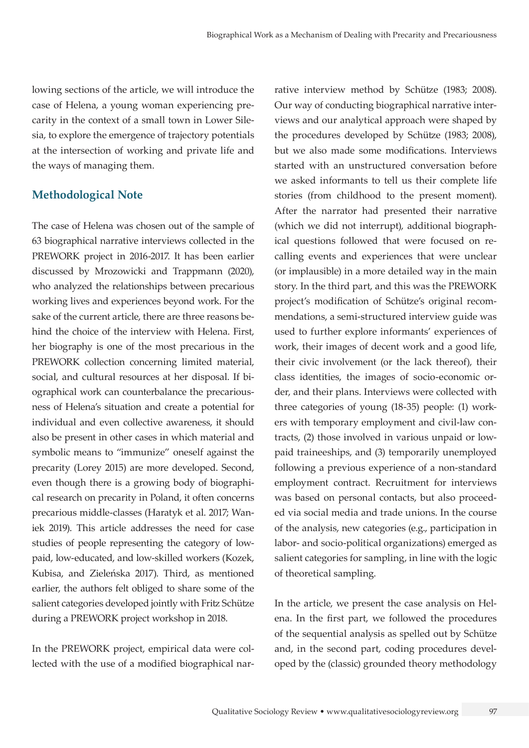lowing sections of the article, we will introduce the case of Helena, a young woman experiencing precarity in the context of a small town in Lower Silesia, to explore the emergence of trajectory potentials at the intersection of working and private life and the ways of managing them.

## **Methodological Note**

The case of Helena was chosen out of the sample of 63 biographical narrative interviews collected in the PREWORK project in 2016-2017. It has been earlier discussed by Mrozowicki and Trappmann (2020), who analyzed the relationships between precarious working lives and experiences beyond work. For the sake of the current article, there are three reasons behind the choice of the interview with Helena. First, her biography is one of the most precarious in the PREWORK collection concerning limited material, social, and cultural resources at her disposal. If biographical work can counterbalance the precariousness of Helena's situation and create a potential for individual and even collective awareness, it should also be present in other cases in which material and symbolic means to "immunize" oneself against the precarity (Lorey 2015) are more developed. Second, even though there is a growing body of biographical research on precarity in Poland, it often concerns precarious middle-classes (Haratyk et al. 2017; Waniek 2019). This article addresses the need for case studies of people representing the category of lowpaid, low-educated, and low-skilled workers (Kozek, Kubisa, and Zieleńska 2017). Third, as mentioned earlier, the authors felt obliged to share some of the salient categories developed jointly with Fritz Schütze during a PREWORK project workshop in 2018.

In the PREWORK project, empirical data were collected with the use of a modified biographical narrative interview method by Schütze (1983; 2008). Our way of conducting biographical narrative interviews and our analytical approach were shaped by the procedures developed by Schütze (1983; 2008), but we also made some modifications. Interviews started with an unstructured conversation before we asked informants to tell us their complete life stories (from childhood to the present moment). After the narrator had presented their narrative (which we did not interrupt), additional biographical questions followed that were focused on recalling events and experiences that were unclear (or implausible) in a more detailed way in the main story. In the third part, and this was the PREWORK project's modification of Schütze's original recommendations, a semi-structured interview guide was used to further explore informants' experiences of work, their images of decent work and a good life, their civic involvement (or the lack thereof), their class identities, the images of socio-economic order, and their plans. Interviews were collected with three categories of young (18-35) people: (1) workers with temporary employment and civil-law contracts, (2) those involved in various unpaid or lowpaid traineeships, and (3) temporarily unemployed following a previous experience of a non-standard employment contract. Recruitment for interviews was based on personal contacts, but also proceeded via social media and trade unions. In the course of the analysis, new categories (e.g., participation in labor- and socio-political organizations) emerged as salient categories for sampling, in line with the logic of theoretical sampling.

In the article, we present the case analysis on Helena. In the first part, we followed the procedures of the sequential analysis as spelled out by Schütze and, in the second part, coding procedures developed by the (classic) grounded theory methodology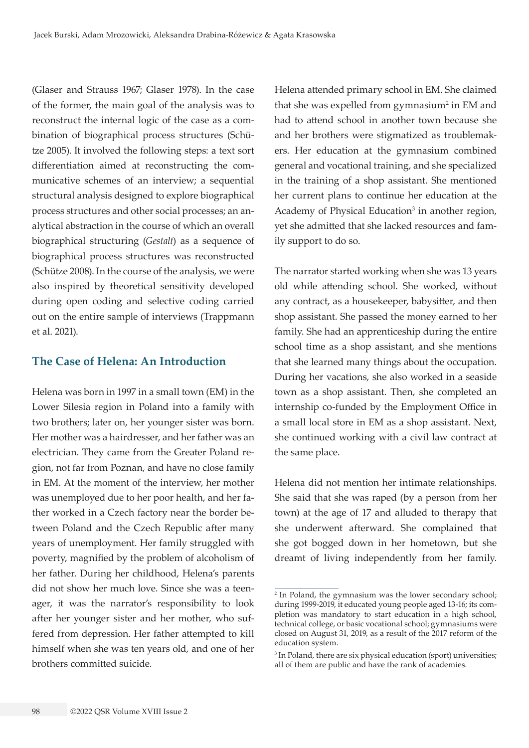(Glaser and Strauss 1967; Glaser 1978). In the case of the former, the main goal of the analysis was to reconstruct the internal logic of the case as a combination of biographical process structures (Schütze 2005). It involved the following steps: a text sort differentiation aimed at reconstructing the communicative schemes of an interview; a sequential structural analysis designed to explore biographical process structures and other social processes; an analytical abstraction in the course of which an overall biographical structuring (*Gestalt*) as a sequence of biographical process structures was reconstructed (Schütze 2008). In the course of the analysis, we were also inspired by theoretical sensitivity developed during open coding and selective coding carried out on the entire sample of interviews (Trappmann et al. 2021).

#### **The Case of Helena: An Introduction**

Helena was born in 1997 in a small town (EM) in the Lower Silesia region in Poland into a family with two brothers; later on, her younger sister was born. Her mother was a hairdresser, and her father was an electrician. They came from the Greater Poland region, not far from Poznan, and have no close family in EM. At the moment of the interview, her mother was unemployed due to her poor health, and her father worked in a Czech factory near the border between Poland and the Czech Republic after many years of unemployment. Her family struggled with poverty, magnified by the problem of alcoholism of her father. During her childhood, Helena's parents did not show her much love. Since she was a teenager, it was the narrator's responsibility to look after her younger sister and her mother, who suffered from depression. Her father attempted to kill himself when she was ten years old, and one of her brothers committed suicide.

Helena attended primary school in EM. She claimed that she was expelled from gymnasium<sup>2</sup> in EM and had to attend school in another town because she and her brothers were stigmatized as troublemakers. Her education at the gymnasium combined general and vocational training, and she specialized in the training of a shop assistant. She mentioned her current plans to continue her education at the Academy of Physical Education<sup>3</sup> in another region, yet she admitted that she lacked resources and family support to do so.

The narrator started working when she was 13 years old while attending school. She worked, without any contract, as a housekeeper, babysitter, and then shop assistant. She passed the money earned to her family. She had an apprenticeship during the entire school time as a shop assistant, and she mentions that she learned many things about the occupation. During her vacations, she also worked in a seaside town as a shop assistant. Then, she completed an internship co-funded by the Employment Office in a small local store in EM as a shop assistant. Next, she continued working with a civil law contract at the same place.

Helena did not mention her intimate relationships. She said that she was raped (by a person from her town) at the age of 17 and alluded to therapy that she underwent afterward. She complained that she got bogged down in her hometown, but she dreamt of living independently from her family.

<sup>2</sup> In Poland, the gymnasium was the lower secondary school; during 1999-2019, it educated young people aged 13-16; its completion was mandatory to start education in a high school, technical college, or basic vocational school; gymnasiums were closed on August 31, 2019, as a result of the 2017 reform of the education system.

<sup>3</sup> In Poland, there are six physical education (sport) universities; all of them are public and have the rank of academies.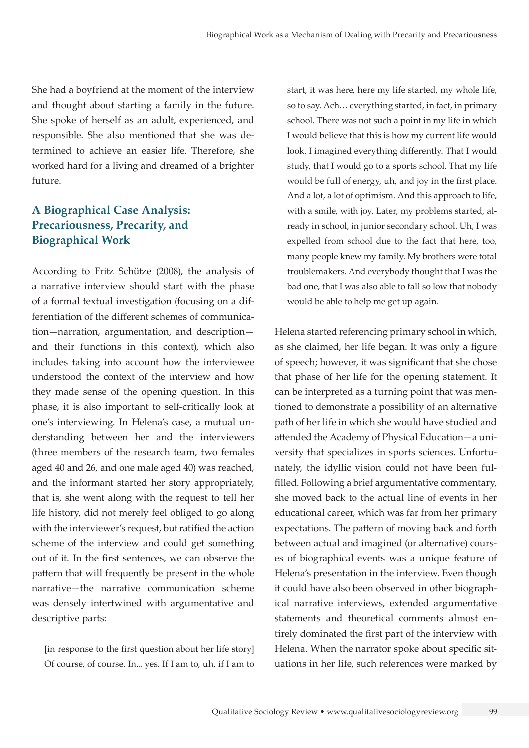She had a boyfriend at the moment of the interview and thought about starting a family in the future. She spoke of herself as an adult, experienced, and responsible. She also mentioned that she was determined to achieve an easier life. Therefore, she worked hard for a living and dreamed of a brighter future.

# **A Biographical Case Analysis: Precariousness, Precarity, and Biographical Work**

According to Fritz Schütze (2008), the analysis of a narrative interview should start with the phase of a formal textual investigation (focusing on a differentiation of the different schemes of communication—narration, argumentation, and description and their functions in this context), which also includes taking into account how the interviewee understood the context of the interview and how they made sense of the opening question. In this phase, it is also important to self-critically look at one's interviewing. In Helena's case, a mutual understanding between her and the interviewers (three members of the research team, two females aged 40 and 26, and one male aged 40) was reached, and the informant started her story appropriately, that is, she went along with the request to tell her life history, did not merely feel obliged to go along with the interviewer's request, but ratified the action scheme of the interview and could get something out of it. In the first sentences, we can observe the pattern that will frequently be present in the whole narrative—the narrative communication scheme was densely intertwined with argumentative and descriptive parts:

[in response to the first question about her life story] Of course, of course. In... yes. If I am to, uh, if I am to

start, it was here, here my life started, my whole life, so to say. Ach… everything started, in fact, in primary school. There was not such a point in my life in which I would believe that this is how my current life would look. I imagined everything differently. That I would study, that I would go to a sports school. That my life would be full of energy, uh, and joy in the first place. And a lot, a lot of optimism. And this approach to life, with a smile, with joy. Later, my problems started, already in school, in junior secondary school. Uh, I was expelled from school due to the fact that here, too, many people knew my family. My brothers were total troublemakers. And everybody thought that I was the bad one, that I was also able to fall so low that nobody would be able to help me get up again.

Helena started referencing primary school in which, as she claimed, her life began. It was only a figure of speech; however, it was significant that she chose that phase of her life for the opening statement. It can be interpreted as a turning point that was mentioned to demonstrate a possibility of an alternative path of her life in which she would have studied and attended the Academy of Physical Education—a university that specializes in sports sciences. Unfortunately, the idyllic vision could not have been fulfilled. Following a brief argumentative commentary, she moved back to the actual line of events in her educational career, which was far from her primary expectations. The pattern of moving back and forth between actual and imagined (or alternative) courses of biographical events was a unique feature of Helena's presentation in the interview. Even though it could have also been observed in other biographical narrative interviews, extended argumentative statements and theoretical comments almost entirely dominated the first part of the interview with Helena. When the narrator spoke about specific situations in her life, such references were marked by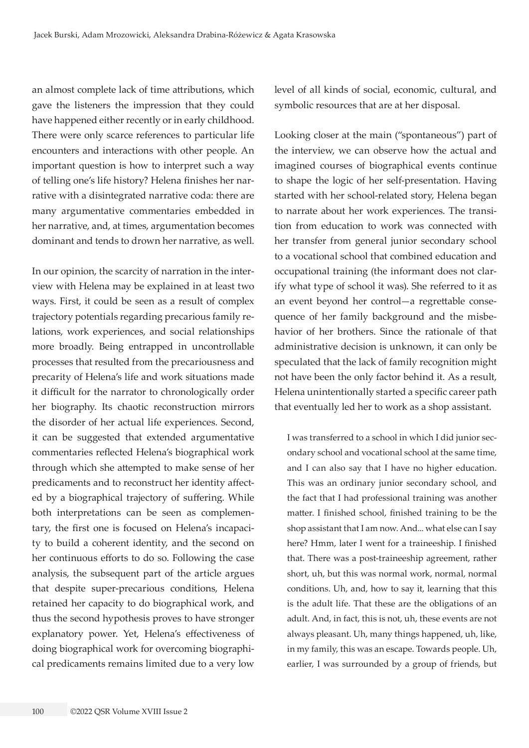an almost complete lack of time attributions, which gave the listeners the impression that they could have happened either recently or in early childhood. There were only scarce references to particular life encounters and interactions with other people. An important question is how to interpret such a way of telling one's life history? Helena finishes her narrative with a disintegrated narrative coda: there are many argumentative commentaries embedded in her narrative, and, at times, argumentation becomes dominant and tends to drown her narrative, as well.

In our opinion, the scarcity of narration in the interview with Helena may be explained in at least two ways. First, it could be seen as a result of complex trajectory potentials regarding precarious family relations, work experiences, and social relationships more broadly. Being entrapped in uncontrollable processes that resulted from the precariousness and precarity of Helena's life and work situations made it difficult for the narrator to chronologically order her biography. Its chaotic reconstruction mirrors the disorder of her actual life experiences. Second, it can be suggested that extended argumentative commentaries reflected Helena's biographical work through which she attempted to make sense of her predicaments and to reconstruct her identity affected by a biographical trajectory of suffering. While both interpretations can be seen as complementary, the first one is focused on Helena's incapacity to build a coherent identity, and the second on her continuous efforts to do so. Following the case analysis, the subsequent part of the article argues that despite super-precarious conditions, Helena retained her capacity to do biographical work, and thus the second hypothesis proves to have stronger explanatory power. Yet, Helena's effectiveness of doing biographical work for overcoming biographical predicaments remains limited due to a very low

level of all kinds of social, economic, cultural, and symbolic resources that are at her disposal.

Looking closer at the main ("spontaneous") part of the interview, we can observe how the actual and imagined courses of biographical events continue to shape the logic of her self-presentation. Having started with her school-related story, Helena began to narrate about her work experiences. The transition from education to work was connected with her transfer from general junior secondary school to a vocational school that combined education and occupational training (the informant does not clarify what type of school it was). She referred to it as an event beyond her control—a regrettable consequence of her family background and the misbehavior of her brothers. Since the rationale of that administrative decision is unknown, it can only be speculated that the lack of family recognition might not have been the only factor behind it. As a result, Helena unintentionally started a specific career path that eventually led her to work as a shop assistant.

I was transferred to a school in which I did junior secondary school and vocational school at the same time, and I can also say that I have no higher education. This was an ordinary junior secondary school, and the fact that I had professional training was another matter. I finished school, finished training to be the shop assistant that I am now. And... what else can I say here? Hmm, later I went for a traineeship. I finished that. There was a post-traineeship agreement, rather short, uh, but this was normal work, normal, normal conditions. Uh, and, how to say it, learning that this is the adult life. That these are the obligations of an adult. And, in fact, this is not, uh, these events are not always pleasant. Uh, many things happened, uh, like, in my family, this was an escape. Towards people. Uh, earlier, I was surrounded by a group of friends, but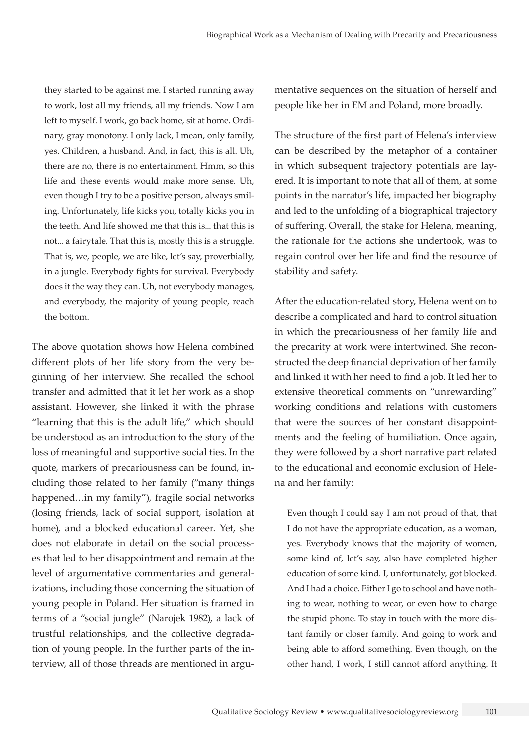they started to be against me. I started running away to work, lost all my friends, all my friends. Now I am left to myself. I work, go back home, sit at home. Ordinary, gray monotony. I only lack, I mean, only family, yes. Children, a husband. And, in fact, this is all. Uh, there are no, there is no entertainment. Hmm, so this life and these events would make more sense. Uh, even though I try to be a positive person, always smiling. Unfortunately, life kicks you, totally kicks you in the teeth. And life showed me that this is... that this is not... a fairytale. That this is, mostly this is a struggle. That is, we, people, we are like, let's say, proverbially, in a jungle. Everybody fights for survival. Everybody does it the way they can. Uh, not everybody manages, and everybody, the majority of young people, reach the bottom.

The above quotation shows how Helena combined different plots of her life story from the very beginning of her interview. She recalled the school transfer and admitted that it let her work as a shop assistant. However, she linked it with the phrase "learning that this is the adult life," which should be understood as an introduction to the story of the loss of meaningful and supportive social ties. In the quote, markers of precariousness can be found, including those related to her family ("many things happened…in my family"), fragile social networks (losing friends, lack of social support, isolation at home), and a blocked educational career. Yet, she does not elaborate in detail on the social processes that led to her disappointment and remain at the level of argumentative commentaries and generalizations, including those concerning the situation of young people in Poland. Her situation is framed in terms of a "social jungle" (Narojek 1982), a lack of trustful relationships, and the collective degradation of young people. In the further parts of the interview, all of those threads are mentioned in argumentative sequences on the situation of herself and people like her in EM and Poland, more broadly.

The structure of the first part of Helena's interview can be described by the metaphor of a container in which subsequent trajectory potentials are layered. It is important to note that all of them, at some points in the narrator's life, impacted her biography and led to the unfolding of a biographical trajectory of suffering. Overall, the stake for Helena, meaning, the rationale for the actions she undertook, was to regain control over her life and find the resource of stability and safety.

After the education-related story, Helena went on to describe a complicated and hard to control situation in which the precariousness of her family life and the precarity at work were intertwined. She reconstructed the deep financial deprivation of her family and linked it with her need to find a job. It led her to extensive theoretical comments on "unrewarding" working conditions and relations with customers that were the sources of her constant disappointments and the feeling of humiliation. Once again, they were followed by a short narrative part related to the educational and economic exclusion of Helena and her family:

Even though I could say I am not proud of that, that I do not have the appropriate education, as a woman, yes. Everybody knows that the majority of women, some kind of, let's say, also have completed higher education of some kind. I, unfortunately, got blocked. And I had a choice. Either I go to school and have nothing to wear, nothing to wear, or even how to charge the stupid phone. To stay in touch with the more distant family or closer family. And going to work and being able to afford something. Even though, on the other hand, I work, I still cannot afford anything. It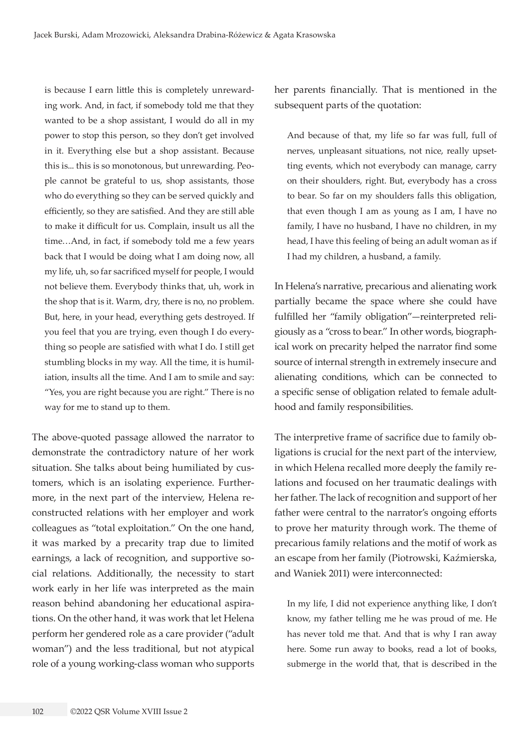is because I earn little this is completely unrewarding work. And, in fact, if somebody told me that they wanted to be a shop assistant, I would do all in my power to stop this person, so they don't get involved in it. Everything else but a shop assistant. Because this is... this is so monotonous, but unrewarding. People cannot be grateful to us, shop assistants, those who do everything so they can be served quickly and efficiently, so they are satisfied. And they are still able to make it difficult for us. Complain, insult us all the time…And, in fact, if somebody told me a few years back that I would be doing what I am doing now, all my life, uh, so far sacrificed myself for people, I would not believe them. Everybody thinks that, uh, work in the shop that is it. Warm, dry, there is no, no problem. But, here, in your head, everything gets destroyed. If you feel that you are trying, even though I do everything so people are satisfied with what I do. I still get stumbling blocks in my way. All the time, it is humiliation, insults all the time. And I am to smile and say: "Yes, you are right because you are right." There is no way for me to stand up to them.

The above-quoted passage allowed the narrator to demonstrate the contradictory nature of her work situation. She talks about being humiliated by customers, which is an isolating experience. Furthermore, in the next part of the interview, Helena reconstructed relations with her employer and work colleagues as "total exploitation." On the one hand, it was marked by a precarity trap due to limited earnings, a lack of recognition, and supportive social relations. Additionally, the necessity to start work early in her life was interpreted as the main reason behind abandoning her educational aspirations. On the other hand, it was work that let Helena perform her gendered role as a care provider ("adult woman") and the less traditional, but not atypical role of a young working-class woman who supports

her parents financially. That is mentioned in the subsequent parts of the quotation:

And because of that, my life so far was full, full of nerves, unpleasant situations, not nice, really upsetting events, which not everybody can manage, carry on their shoulders, right. But, everybody has a cross to bear. So far on my shoulders falls this obligation, that even though I am as young as I am, I have no family, I have no husband, I have no children, in my head, I have this feeling of being an adult woman as if I had my children, a husband, a family.

In Helena's narrative, precarious and alienating work partially became the space where she could have fulfilled her "family obligation"—reinterpreted religiously as a "cross to bear." In other words, biographical work on precarity helped the narrator find some source of internal strength in extremely insecure and alienating conditions, which can be connected to a specific sense of obligation related to female adulthood and family responsibilities.

The interpretive frame of sacrifice due to family obligations is crucial for the next part of the interview, in which Helena recalled more deeply the family relations and focused on her traumatic dealings with her father. The lack of recognition and support of her father were central to the narrator's ongoing efforts to prove her maturity through work. The theme of precarious family relations and the motif of work as an escape from her family (Piotrowski, Kaźmierska, and Waniek 2011) were interconnected:

In my life, I did not experience anything like, I don't know, my father telling me he was proud of me. He has never told me that. And that is why I ran away here. Some run away to books, read a lot of books, submerge in the world that, that is described in the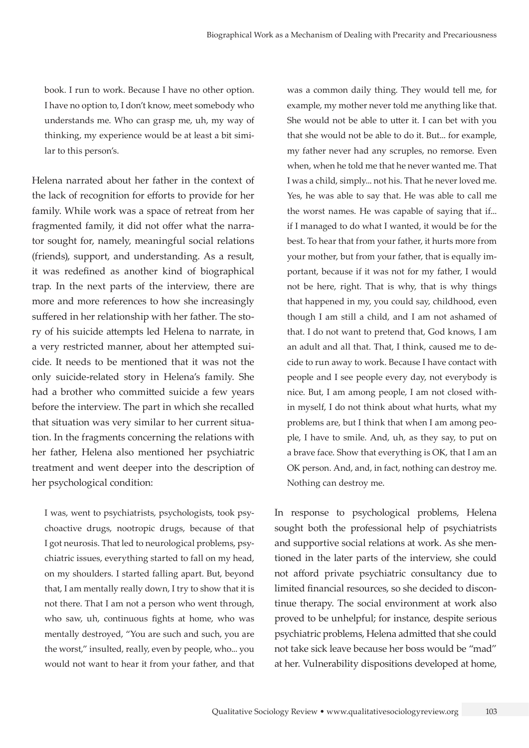book. I run to work. Because I have no other option. I have no option to, I don't know, meet somebody who understands me. Who can grasp me, uh, my way of thinking, my experience would be at least a bit similar to this person's.

Helena narrated about her father in the context of the lack of recognition for efforts to provide for her family. While work was a space of retreat from her fragmented family, it did not offer what the narrator sought for, namely, meaningful social relations (friends), support, and understanding. As a result, it was redefined as another kind of biographical trap. In the next parts of the interview, there are more and more references to how she increasingly suffered in her relationship with her father. The story of his suicide attempts led Helena to narrate, in a very restricted manner, about her attempted suicide. It needs to be mentioned that it was not the only suicide-related story in Helena's family. She had a brother who committed suicide a few years before the interview. The part in which she recalled that situation was very similar to her current situation. In the fragments concerning the relations with her father, Helena also mentioned her psychiatric treatment and went deeper into the description of her psychological condition:

I was, went to psychiatrists, psychologists, took psychoactive drugs, nootropic drugs, because of that I got neurosis. That led to neurological problems, psychiatric issues, everything started to fall on my head, on my shoulders. I started falling apart. But, beyond that, I am mentally really down, I try to show that it is not there. That I am not a person who went through, who saw, uh, continuous fights at home, who was mentally destroyed, "You are such and such, you are the worst," insulted, really, even by people, who... you would not want to hear it from your father, and that was a common daily thing. They would tell me, for example, my mother never told me anything like that. She would not be able to utter it. I can bet with you that she would not be able to do it. But... for example, my father never had any scruples, no remorse. Even when, when he told me that he never wanted me. That I was a child, simply... not his. That he never loved me. Yes, he was able to say that. He was able to call me the worst names. He was capable of saying that if... if I managed to do what I wanted, it would be for the best. To hear that from your father, it hurts more from your mother, but from your father, that is equally important, because if it was not for my father, I would not be here, right. That is why, that is why things that happened in my, you could say, childhood, even though I am still a child, and I am not ashamed of that. I do not want to pretend that, God knows, I am an adult and all that. That, I think, caused me to decide to run away to work. Because I have contact with people and I see people every day, not everybody is nice. But, I am among people, I am not closed within myself, I do not think about what hurts, what my problems are, but I think that when I am among people, I have to smile. And, uh, as they say, to put on a brave face. Show that everything is OK, that I am an OK person. And, and, in fact, nothing can destroy me. Nothing can destroy me.

In response to psychological problems, Helena sought both the professional help of psychiatrists and supportive social relations at work. As she mentioned in the later parts of the interview, she could not afford private psychiatric consultancy due to limited financial resources, so she decided to discontinue therapy. The social environment at work also proved to be unhelpful; for instance, despite serious psychiatric problems, Helena admitted that she could not take sick leave because her boss would be "mad" at her. Vulnerability dispositions developed at home,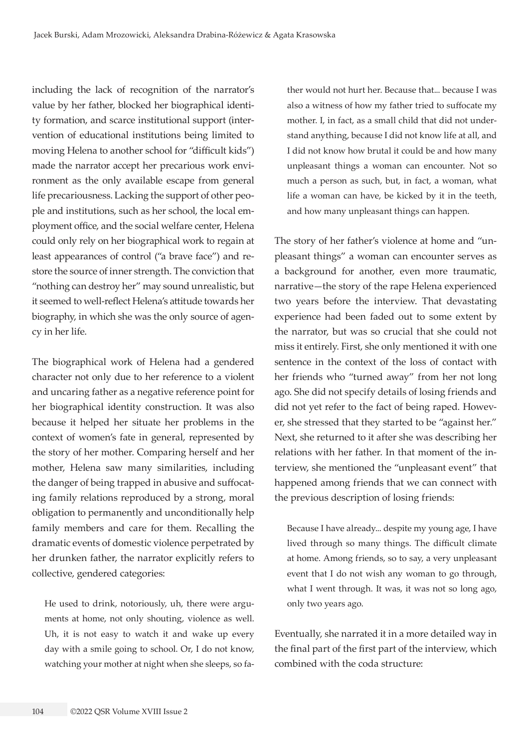including the lack of recognition of the narrator's value by her father, blocked her biographical identity formation, and scarce institutional support (intervention of educational institutions being limited to moving Helena to another school for "difficult kids") made the narrator accept her precarious work environment as the only available escape from general life precariousness. Lacking the support of other people and institutions, such as her school, the local employment office, and the social welfare center, Helena could only rely on her biographical work to regain at least appearances of control ("a brave face") and restore the source of inner strength. The conviction that "nothing can destroy her" may sound unrealistic, but it seemed to well-reflect Helena's attitude towards her biography, in which she was the only source of agency in her life.

The biographical work of Helena had a gendered character not only due to her reference to a violent and uncaring father as a negative reference point for her biographical identity construction. It was also because it helped her situate her problems in the context of women's fate in general, represented by the story of her mother. Comparing herself and her mother, Helena saw many similarities, including the danger of being trapped in abusive and suffocating family relations reproduced by a strong, moral obligation to permanently and unconditionally help family members and care for them. Recalling the dramatic events of domestic violence perpetrated by her drunken father, the narrator explicitly refers to collective, gendered categories:

He used to drink, notoriously, uh, there were arguments at home, not only shouting, violence as well. Uh, it is not easy to watch it and wake up every day with a smile going to school. Or, I do not know, watching your mother at night when she sleeps, so father would not hurt her. Because that... because I was also a witness of how my father tried to suffocate my mother. I, in fact, as a small child that did not understand anything, because I did not know life at all, and I did not know how brutal it could be and how many unpleasant things a woman can encounter. Not so much a person as such, but, in fact, a woman, what life a woman can have, be kicked by it in the teeth, and how many unpleasant things can happen.

The story of her father's violence at home and "unpleasant things" a woman can encounter serves as a background for another, even more traumatic, narrative—the story of the rape Helena experienced two years before the interview. That devastating experience had been faded out to some extent by the narrator, but was so crucial that she could not miss it entirely. First, she only mentioned it with one sentence in the context of the loss of contact with her friends who "turned away" from her not long ago. She did not specify details of losing friends and did not yet refer to the fact of being raped. However, she stressed that they started to be "against her." Next, she returned to it after she was describing her relations with her father. In that moment of the interview, she mentioned the "unpleasant event" that happened among friends that we can connect with the previous description of losing friends:

Because I have already... despite my young age, I have lived through so many things. The difficult climate at home. Among friends, so to say, a very unpleasant event that I do not wish any woman to go through, what I went through. It was, it was not so long ago, only two years ago.

Eventually, she narrated it in a more detailed way in the final part of the first part of the interview, which combined with the coda structure: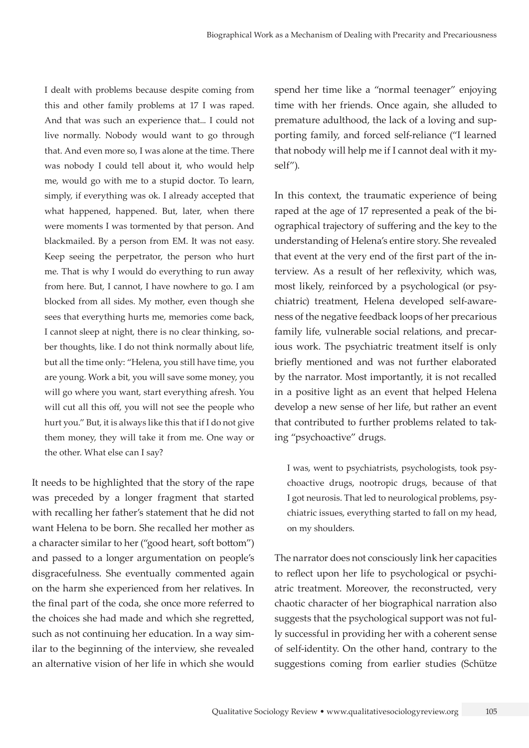I dealt with problems because despite coming from this and other family problems at 17 I was raped. And that was such an experience that... I could not live normally. Nobody would want to go through that. And even more so, I was alone at the time. There was nobody I could tell about it, who would help me, would go with me to a stupid doctor. To learn, simply, if everything was ok. I already accepted that what happened, happened. But, later, when there were moments I was tormented by that person. And blackmailed. By a person from EM. It was not easy. Keep seeing the perpetrator, the person who hurt me. That is why I would do everything to run away from here. But, I cannot, I have nowhere to go. I am blocked from all sides. My mother, even though she sees that everything hurts me, memories come back, I cannot sleep at night, there is no clear thinking, sober thoughts, like. I do not think normally about life, but all the time only: "Helena, you still have time, you are young. Work a bit, you will save some money, you will go where you want, start everything afresh. You will cut all this off, you will not see the people who hurt you." But, it is always like this that if I do not give them money, they will take it from me. One way or the other. What else can I say?

It needs to be highlighted that the story of the rape was preceded by a longer fragment that started with recalling her father's statement that he did not want Helena to be born. She recalled her mother as a character similar to her ("good heart, soft bottom") and passed to a longer argumentation on people's disgracefulness. She eventually commented again on the harm she experienced from her relatives. In the final part of the coda, she once more referred to the choices she had made and which she regretted, such as not continuing her education. In a way similar to the beginning of the interview, she revealed an alternative vision of her life in which she would spend her time like a "normal teenager" enjoying time with her friends. Once again, she alluded to premature adulthood, the lack of a loving and supporting family, and forced self-reliance ("I learned that nobody will help me if I cannot deal with it myself").

In this context, the traumatic experience of being raped at the age of 17 represented a peak of the biographical trajectory of suffering and the key to the understanding of Helena's entire story. She revealed that event at the very end of the first part of the interview. As a result of her reflexivity, which was, most likely, reinforced by a psychological (or psychiatric) treatment, Helena developed self-awareness of the negative feedback loops of her precarious family life, vulnerable social relations, and precarious work. The psychiatric treatment itself is only briefly mentioned and was not further elaborated by the narrator. Most importantly, it is not recalled in a positive light as an event that helped Helena develop a new sense of her life, but rather an event that contributed to further problems related to taking "psychoactive" drugs.

I was, went to psychiatrists, psychologists, took psychoactive drugs, nootropic drugs, because of that I got neurosis. That led to neurological problems, psychiatric issues, everything started to fall on my head, on my shoulders.

The narrator does not consciously link her capacities to reflect upon her life to psychological or psychiatric treatment. Moreover, the reconstructed, very chaotic character of her biographical narration also suggests that the psychological support was not fully successful in providing her with a coherent sense of self-identity. On the other hand, contrary to the suggestions coming from earlier studies (Schütze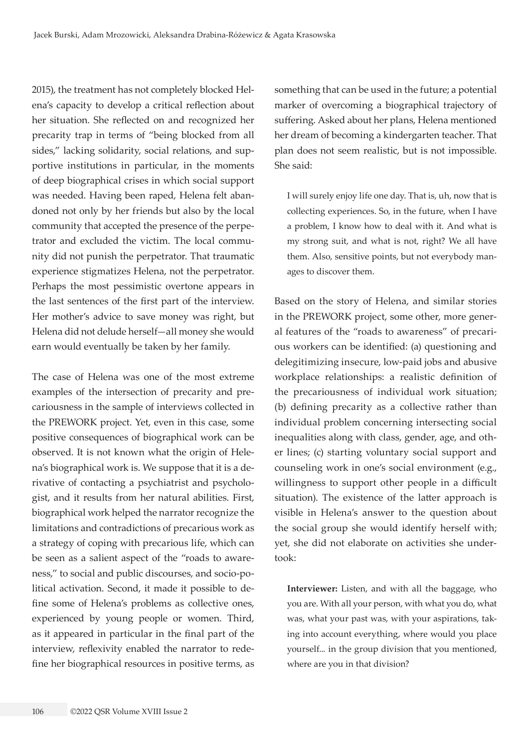2015), the treatment has not completely blocked Helena's capacity to develop a critical reflection about her situation. She reflected on and recognized her precarity trap in terms of "being blocked from all sides," lacking solidarity, social relations, and supportive institutions in particular, in the moments of deep biographical crises in which social support was needed. Having been raped, Helena felt abandoned not only by her friends but also by the local community that accepted the presence of the perpetrator and excluded the victim. The local community did not punish the perpetrator. That traumatic experience stigmatizes Helena, not the perpetrator. Perhaps the most pessimistic overtone appears in the last sentences of the first part of the interview. Her mother's advice to save money was right, but Helena did not delude herself—all money she would earn would eventually be taken by her family.

The case of Helena was one of the most extreme examples of the intersection of precarity and precariousness in the sample of interviews collected in the PREWORK project. Yet, even in this case, some positive consequences of biographical work can be observed. It is not known what the origin of Helena's biographical work is. We suppose that it is a derivative of contacting a psychiatrist and psychologist, and it results from her natural abilities. First, biographical work helped the narrator recognize the limitations and contradictions of precarious work as a strategy of coping with precarious life, which can be seen as a salient aspect of the "roads to awareness," to social and public discourses, and socio-political activation. Second, it made it possible to define some of Helena's problems as collective ones, experienced by young people or women. Third, as it appeared in particular in the final part of the interview, reflexivity enabled the narrator to redefine her biographical resources in positive terms, as

something that can be used in the future; a potential marker of overcoming a biographical trajectory of suffering. Asked about her plans, Helena mentioned her dream of becoming a kindergarten teacher. That plan does not seem realistic, but is not impossible. She said:

I will surely enjoy life one day. That is, uh, now that is collecting experiences. So, in the future, when I have a problem, I know how to deal with it. And what is my strong suit, and what is not, right? We all have them. Also, sensitive points, but not everybody manages to discover them.

Based on the story of Helena, and similar stories in the PREWORK project, some other, more general features of the "roads to awareness" of precarious workers can be identified: (a) questioning and delegitimizing insecure, low-paid jobs and abusive workplace relationships: a realistic definition of the precariousness of individual work situation; (b) defining precarity as a collective rather than individual problem concerning intersecting social inequalities along with class, gender, age, and other lines; (c) starting voluntary social support and counseling work in one's social environment (e.g., willingness to support other people in a difficult situation). The existence of the latter approach is visible in Helena's answer to the question about the social group she would identify herself with; yet, she did not elaborate on activities she undertook:

**Interviewer:** Listen, and with all the baggage, who you are. With all your person, with what you do, what was, what your past was, with your aspirations, taking into account everything, where would you place yourself... in the group division that you mentioned, where are you in that division?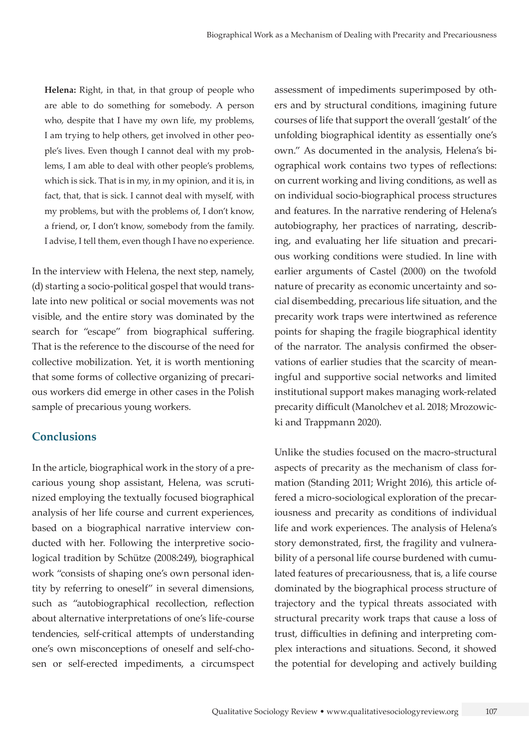**Helena:** Right, in that, in that group of people who are able to do something for somebody. A person who, despite that I have my own life, my problems, I am trying to help others, get involved in other people's lives. Even though I cannot deal with my problems, I am able to deal with other people's problems, which is sick. That is in my, in my opinion, and it is, in fact, that, that is sick. I cannot deal with myself, with my problems, but with the problems of, I don't know, a friend, or, I don't know, somebody from the family. I advise, I tell them, even though I have no experience.

In the interview with Helena, the next step, namely, (d) starting a socio-political gospel that would translate into new political or social movements was not visible, and the entire story was dominated by the search for "escape" from biographical suffering. That is the reference to the discourse of the need for collective mobilization. Yet, it is worth mentioning that some forms of collective organizing of precarious workers did emerge in other cases in the Polish sample of precarious young workers.

## **Conclusions**

In the article, biographical work in the story of a precarious young shop assistant, Helena, was scrutinized employing the textually focused biographical analysis of her life course and current experiences, based on a biographical narrative interview conducted with her. Following the interpretive sociological tradition by Schütze (2008:249), biographical work "consists of shaping one's own personal identity by referring to oneself" in several dimensions, such as "autobiographical recollection, reflection about alternative interpretations of one's life-course tendencies, self-critical attempts of understanding one's own misconceptions of oneself and self-chosen or self-erected impediments, a circumspect

assessment of impediments superimposed by others and by structural conditions, imagining future courses of life that support the overall 'gestalt' of the unfolding biographical identity as essentially one's own." As documented in the analysis, Helena's biographical work contains two types of reflections: on current working and living conditions, as well as on individual socio-biographical process structures and features. In the narrative rendering of Helena's autobiography, her practices of narrating, describing, and evaluating her life situation and precarious working conditions were studied. In line with earlier arguments of Castel (2000) on the twofold nature of precarity as economic uncertainty and social disembedding, precarious life situation, and the precarity work traps were intertwined as reference points for shaping the fragile biographical identity of the narrator. The analysis confirmed the observations of earlier studies that the scarcity of meaningful and supportive social networks and limited institutional support makes managing work-related precarity difficult (Manolchev et al. 2018; Mrozowicki and Trappmann 2020).

Unlike the studies focused on the macro-structural aspects of precarity as the mechanism of class formation (Standing 2011; Wright 2016), this article offered a micro-sociological exploration of the precariousness and precarity as conditions of individual life and work experiences. The analysis of Helena's story demonstrated, first, the fragility and vulnerability of a personal life course burdened with cumulated features of precariousness, that is, a life course dominated by the biographical process structure of trajectory and the typical threats associated with structural precarity work traps that cause a loss of trust, difficulties in defining and interpreting complex interactions and situations. Second, it showed the potential for developing and actively building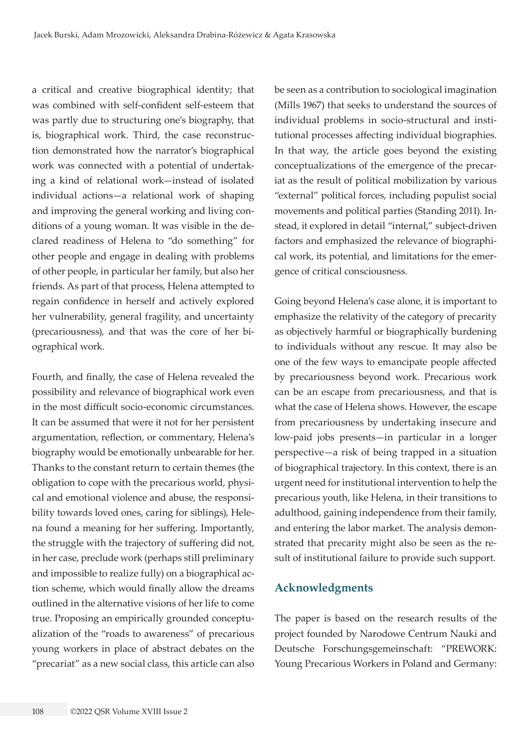a critical and creative biographical identity; that was combined with self-confident self-esteem that was partly due to structuring one's biography, that is, biographical work. Third, the case reconstruction demonstrated how the narrator's biographical work was connected with a potential of undertaking a kind of relational work—instead of isolated individual actions—a relational work of shaping and improving the general working and living conditions of a young woman. It was visible in the declared readiness of Helena to "do something" for other people and engage in dealing with problems of other people, in particular her family, but also her friends. As part of that process, Helena attempted to regain confidence in herself and actively explored her vulnerability, general fragility, and uncertainty (precariousness), and that was the core of her biographical work.

Fourth, and finally, the case of Helena revealed the possibility and relevance of biographical work even in the most difficult socio-economic circumstances. It can be assumed that were it not for her persistent argumentation, reflection, or commentary, Helena's biography would be emotionally unbearable for her. Thanks to the constant return to certain themes (the obligation to cope with the precarious world, physical and emotional violence and abuse, the responsibility towards loved ones, caring for siblings), Helena found a meaning for her suffering. Importantly, the struggle with the trajectory of suffering did not, in her case, preclude work (perhaps still preliminary and impossible to realize fully) on a biographical action scheme, which would finally allow the dreams outlined in the alternative visions of her life to come true. Proposing an empirically grounded conceptualization of the "roads to awareness" of precarious young workers in place of abstract debates on the "precariat" as a new social class, this article can also

be seen as a contribution to sociological imagination (Mills 1967) that seeks to understand the sources of individual problems in socio-structural and institutional processes affecting individual biographies. In that way, the article goes beyond the existing conceptualizations of the emergence of the precariat as the result of political mobilization by various "external" political forces, including populist social movements and political parties (Standing 2011). Instead, it explored in detail "internal," subject-driven factors and emphasized the relevance of biographical work, its potential, and limitations for the emergence of critical consciousness.

Going beyond Helena's case alone, it is important to emphasize the relativity of the category of precarity as objectively harmful or biographically burdening to individuals without any rescue. It may also be one of the few ways to emancipate people affected by precariousness beyond work. Precarious work can be an escape from precariousness, and that is what the case of Helena shows. However, the escape from precariousness by undertaking insecure and low-paid jobs presents—in particular in a longer perspective—a risk of being trapped in a situation of biographical trajectory. In this context, there is an urgent need for institutional intervention to help the precarious youth, like Helena, in their transitions to adulthood, gaining independence from their family, and entering the labor market. The analysis demonstrated that precarity might also be seen as the result of institutional failure to provide such support.

# **Acknowledgments**

The paper is based on the research results of the project founded by Narodowe Centrum Nauki and Deutsche Forschungsgemeinschaft: "PREWORK: Young Precarious Workers in Poland and Germany: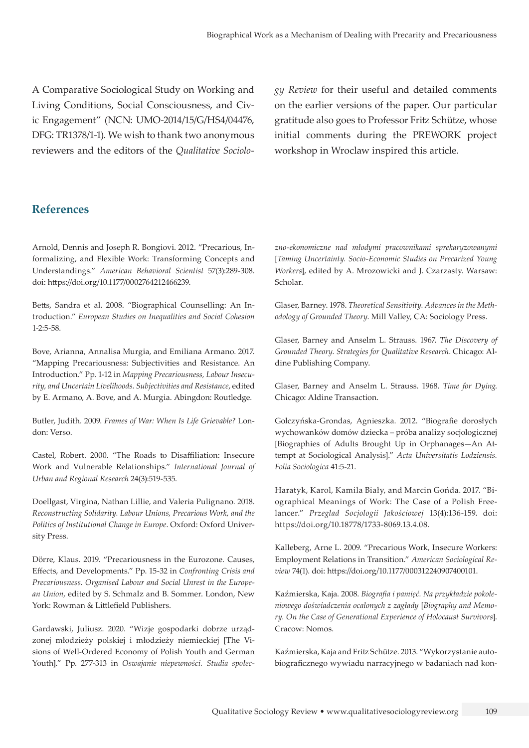A Comparative Sociological Study on Working and Living Conditions, Social Consciousness, and Civic Engagement" (NCN: UMO-2014/15/G/HS4/04476, DFG: TR1378/1-1). We wish to thank two anonymous reviewers and the editors of the *Qualitative Sociolo-* *gy Review* for their useful and detailed comments on the earlier versions of the paper. Our particular gratitude also goes to Professor Fritz Schütze, whose initial comments during the PREWORK project workshop in Wroclaw inspired this article.

## **References**

Arnold, Dennis and Joseph R. Bongiovi. 2012. "Precarious, Informalizing, and Flexible Work: Transforming Concepts and Understandings." *American Behavioral Scientist* 57(3):289-308. doi: <https://doi.org/10.1177/0002764212466239>.

Betts, Sandra et al. 2008. "Biographical Counselling: An Introduction." *European Studies on Inequalities and Social Cohesion* 1-2:5-58.

Bove, Arianna, Annalisa Murgia, and Emiliana Armano. 2017. "Mapping Precariousness: Subjectivities and Resistance. An Introduction." Pp. 1-12 in *Mapping Precariousness, Labour Insecurity, and Uncertain Livelihoods. Subjectivities and Resistance*, edited by E. Armano, A. Bove, and A. Murgia. Abingdon: Routledge.

Butler, Judith. 2009. *Frames of War: When Is Life Grievable?* London: Verso.

Castel, Robert. 2000. "The Roads to Disaffiliation: Insecure Work and Vulnerable Relationships." *International Journal of Urban and Regional Research* 24(3):519-535.

Doellgast, Virgina, Nathan Lillie, and Valeria Pulignano. 2018. *Reconstructing Solidarity. Labour Unions, Precarious Work, and the Politics of Institutional Change in Europe*. Oxford: Oxford University Press.

Dörre, Klaus. 2019. "Precariousness in the Eurozone. Causes, Effects, and Developments." Pp. 15-32 in *Confronting Crisis and Precariousness. Organised Labour and Social Unrest in the European Union*, edited by S. Schmalz and B. Sommer. London, New York: Rowman & Littlefield Publishers.

Gardawski, Juliusz. 2020. "Wizje gospodarki dobrze urządzonej młodzieży polskiej i młodzieży niemieckiej [The Visions of Well-Ordered Economy of Polish Youth and German Youth]." Pp. 277-313 in *Oswajanie niepewności. Studia społec-* *zno-ekonomiczne nad młodymi pracownikami sprekaryzowanymi*  [*Taming Uncertainty. Socio-Economic Studies on Precarized Young Workers*], edited by A. Mrozowicki and J. Czarzasty. Warsaw: Scholar.

Glaser, Barney. 1978. *Theoretical Sensitivity. Advances in the Methodology of Grounded Theory*. Mill Valley, CA: Sociology Press.

Glaser, Barney and Anselm L. Strauss. 1967. *The Discovery of Grounded Theory. Strategies for Qualitative Research*. Chicago: Aldine Publishing Company.

Glaser, Barney and Anselm L. Strauss. 1968. *Time for Dying*. Chicago: Aldine Transaction.

Golczyńska-Grondas, Agnieszka. 2012. "Biografie dorosłych wychowanków domów dziecka – próba analizy socjologicznej [Biographies of Adults Brought Up in Orphanages—An Attempt at Sociological Analysis]." *Acta Universitatis Lodziensis. Folia Sociologica* 41:5-21.

Haratyk, Karol, Kamila Biały, and Marcin Gońda. 2017. "Biographical Meanings of Work: The Case of a Polish Freelancer." *Przeglad Socjologii Jakościowej* 13(4):136-159. doi: <https://doi.org/10.18778/1733-8069.13.4.08>.

Kalleberg, Arne L. 2009. "Precarious Work, Insecure Workers: Employment Relations in Transition." *American Sociological Review* 74(1). doi:<https://doi.org/10.1177/000312240907400101>.

Kaźmierska, Kaja. 2008. *Biografia i pamięć. Na przykładzie pokoleniowego doświadczenia ocalonych z zagłady* [*Biography and Memory. On the Case of Generational Experience of Holocaust Survivors*]. Cracow: Nomos.

Kaźmierska, Kaja and Fritz Schütze. 2013. "Wykorzystanie autobiograficznego wywiadu narracyjnego w badaniach nad kon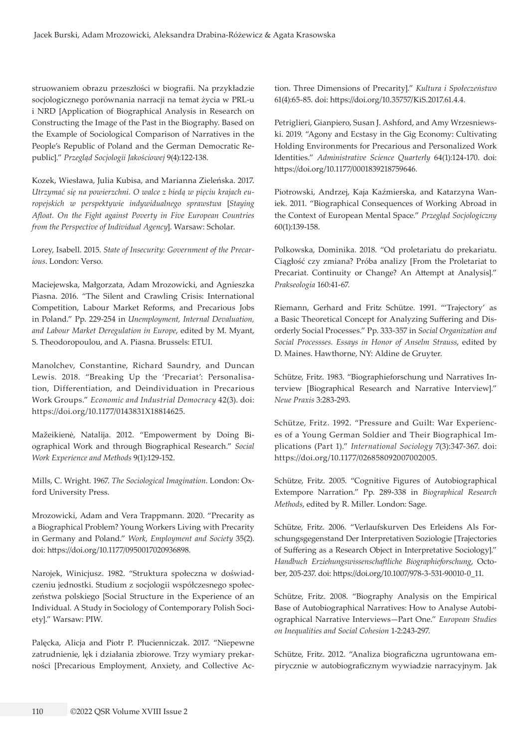struowaniem obrazu przeszłości w biografii. Na przykładzie socjologicznego porównania narracji na temat życia w PRL-u i NRD [Application of Biographical Analysis in Research on Constructing the Image of the Past in the Biography. Based on the Example of Sociological Comparison of Narratives in the People's Republic of Poland and the German Democratic Republic]." *Przegląd Socjologii Jakościowej* 9(4):122-138.

Kozek, Wiesława, Julia Kubisa, and Marianna Zieleńska. 2017. *Utrzymać się na powierzchni. O walce z biedą w pięciu krajach europejskich w perspektywie indywidualnego sprawstwa* [*Staying Afloat. On the Fight against Poverty in Five European Countries from the Perspective of Individual Agency*]. Warsaw: Scholar.

Lorey, Isabell. 2015. *State of Insecurity: Government of the Precarious*. London: Verso.

Maciejewska, Małgorzata, Adam Mrozowicki, and Agnieszka Piasna. 2016. "The Silent and Crawling Crisis: International Competition, Labour Market Reforms, and Precarious Jobs in Poland." Pp. 229-254 in *Unemployment, Internal Devaluation, and Labour Market Deregulation in Europe*, edited by M. Myant, S. Theodoropoulou, and A. Piasna. Brussels: ETUI.

Manolchev, Constantine, Richard Saundry, and Duncan Lewis. 2018. "Breaking Up the 'Precariat': Personalisation, Differentiation, and Deindividuation in Precarious Work Groups." *Economic and Industrial Democracy* 42(3). doi: <https://doi.org/10.1177/0143831X18814625>.

Mažeikienė, Natalija. 2012. "Empowerment by Doing Biographical Work and through Biographical Research." *Social Work Experience and Methods* 9(1):129-152.

Mills, C. Wright. 1967. *The Sociological Imagination*. London: Oxford University Press.

Mrozowicki, Adam and Vera Trappmann. 2020. "Precarity as a Biographical Problem? Young Workers Living with Precarity in Germany and Poland." *Work, Employment and Society* 35(2). doi:<https://doi.org/10.1177/0950017020936898>.

Narojek, Winicjusz. 1982. "Struktura społeczna w doświadczeniu jednostki. Studium z socjologii współczesnego społeczeństwa polskiego [Social Structure in the Experience of an Individual. A Study in Sociology of Contemporary Polish Society]." Warsaw: PIW.

Palęcka, Alicja and Piotr P. Płucienniczak. 2017. "Niepewne zatrudnienie, lęk i działania zbiorowe. Trzy wymiary prekarności [Precarious Employment, Anxiety, and Collective Ac-

tion. Three Dimensions of Precarity]." *Kultura i Społeczeństwo* 61(4):65-85. doi: <https://doi.org/10.35757/KiS.2017.61.4.4>.

Petriglieri, Gianpiero, Susan J. Ashford, and Amy Wrzesniewski. 2019. "Agony and Ecstasy in the Gig Economy: Cultivating Holding Environments for Precarious and Personalized Work Identities." *Administrative Science Quarterly* 64(1):124-170. doi: <https://doi.org/10.1177/0001839218759646>.

Piotrowski, Andrzej, Kaja Kaźmierska, and Katarzyna Waniek. 2011. "Biographical Consequences of Working Abroad in the Context of European Mental Space." *Przegląd Socjologiczny* 60(1):139-158.

Polkowska, Dominika. 2018. "Od proletariatu do prekariatu. Ciągłość czy zmiana? Próba analizy [From the Proletariat to Precariat. Continuity or Change? An Attempt at Analysis]." *Prakseologia* 160:41-67.

Riemann, Gerhard and Fritz Schütze. 1991. "'Trajectory' as a Basic Theoretical Concept for Analyzing Suffering and Disorderly Social Processes." Pp. 333-357 in *Social Organization and Social Processses. Essays in Honor of Anselm Strauss*, edited by D. Maines. Hawthorne, NY: Aldine de Gruyter.

Schütze, Fritz. 1983. "Biographieforschung und Narratives Interview [Biographical Research and Narrative Interview]." *Neue Praxis* 3:283-293.

Schütze, Fritz. 1992. "Pressure and Guilt: War Experiences of a Young German Soldier and Their Biographical Implications (Part 1)." *International Sociology* 7(3):347-367. doi: <https://doi.org/10.1177/026858092007002005>.

Schütze, Fritz. 2005. "Cognitive Figures of Autobiographical Extempore Narration." Pp. 289-338 in *Biographical Research Methods*, edited by R. Miller. London: Sage.

Schütze, Fritz. 2006. "Verlaufskurven Des Erleidens Als Forschungsgegenstand Der Interpretativen Soziologie [Trajectories of Suffering as a Research Object in Interpretative Sociology]." *Handbuch Erziehungswissenschaftliche Biographieforschung*, October, 205-237. doi: [https://doi.org/10.1007/978-3-531-90010-0\\_11.](https://doi.org/10.1007/978-3-531-90010-0_11)

Schütze, Fritz. 2008. "Biography Analysis on the Empirical Base of Autobiographical Narratives: How to Analyse Autobiographical Narrative Interviews—Part One." *European Studies on Inequalities and Social Cohesion* 1-2:243-297.

Schütze, Fritz. 2012. "Analiza biograficzna ugruntowana empirycznie w autobiograficznym wywiadzie narracyjnym. Jak